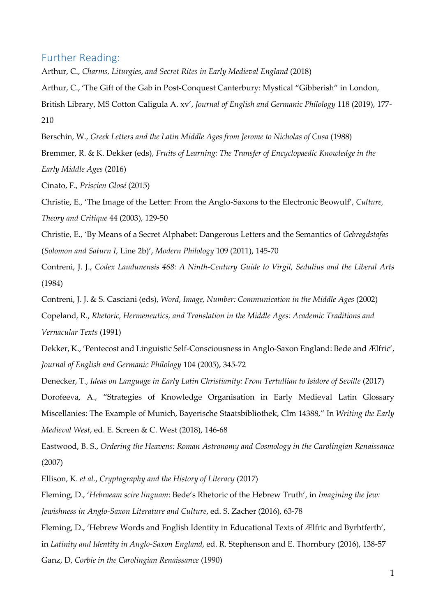## Further Reading:

Arthur, C., *Charms, Liturgies, and Secret Rites in Early Medieval England* (2018)

Arthur, C., 'The Gift of the Gab in Post-Conquest Canterbury: Mystical "Gibberish" in London,

British Library, MS Cotton Caligula A. xv', *Journal of English and Germanic Philology* 118 (2019), 177- 210

Berschin, W., *Greek Letters and the Latin Middle Ages from Jerome to Nicholas of Cusa* (1988)

Bremmer, R. & K. Dekker (eds), *Fruits of Learning: The Transfer of Encyclopaedic Knowledge in the Early Middle Ages* (2016)

Cinato, F., *Priscien Glosé* (2015)

Christie, E., 'The Image of the Letter: From the Anglo-Saxons to the Electronic Beowulf', *Culture, Theory and Critique* 44 (2003), 129-50

Christie, E., 'By Means of a Secret Alphabet: Dangerous Letters and the Semantics of *Gebregdstafas* (*Solomon and Saturn I*, Line 2b)', *Modern Philology* 109 (2011), 145-70

Contreni, J. J., *Codex Laudunensis 468: A Ninth-Century Guide to Virgil, Sedulius and the Liberal Arts* (1984)

Contreni, J. J. & S. Casciani (eds), *Word, Image, Number: Communication in the Middle Ages* (2002) Copeland, R., *Rhetoric, Hermeneutics, and Translation in the Middle Ages: Academic Traditions and Vernacular Texts* (1991)

Dekker, K., 'Pentecost and Linguistic Self-Consciousness in Anglo-Saxon England: Bede and Ælfric', *Journal of English and Germanic Philology* 104 (2005), 345-72

Denecker, T., *Ideas on Language in Early Latin Christianity: From Tertullian to Isidore of Seville* (2017) Dorofeeva, A., "[Strategies of Knowledge Organisation in Early Medieval Latin Glossary](https://www.dur.ac.uk/research/directory/staff/?mode=pdetail&id=19210&sid=19210&pdetail=128775)  [Miscellanies: The Example of Munich, Bayerische Staatsbibliothek, Clm 14388,](https://www.dur.ac.uk/research/directory/staff/?mode=pdetail&id=19210&sid=19210&pdetail=128775)" In *Writing the Early Medieval West*, ed. E. Screen & C. West (2018), 146-68

Eastwood, B. S., *Ordering the Heavens: Roman Astronomy and Cosmology in the Carolingian Renaissance* (2007)

Ellison, K. *et al.*, *Cryptography and the History of Literacy* (2017)

Fleming, D., '*Hebraeam scire linguam*: Bede's Rhetoric of the Hebrew Truth', in *Imagining the Jew: Jewishness in Anglo-Saxon Literature and Culture*, ed. S. Zacher (2016), 63-78

Fleming, D., 'Hebrew Words and English Identity in Educational Texts of Ælfric and Byrhtferth', in *Latinity and Identity in Anglo-Saxon England*, ed. R. Stephenson and E. Thornbury (2016), 138-57 Ganz, D, *Corbie in the Carolingian Renaissance* (1990)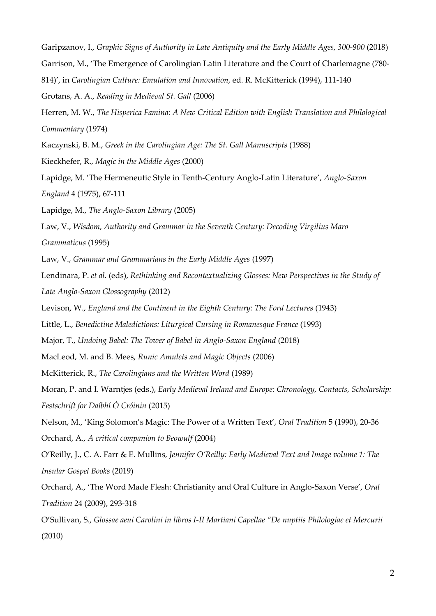Garipzanov, I., *Graphic Signs of Authority in Late Antiquity and the Early Middle Ages, 300-900* (2018) Garrison, M., 'The Emergence of Carolingian Latin Literature and the Court of Charlemagne (780- 814)', in *Carolingian Culture: Emulation and Innovation*, ed. R. McKitterick (1994), 111-140 Grotans, A. A., *Reading in Medieval St. Gall* (2006) Herren, M. W., *The Hisperica Famina: A New Critical Edition with English Translation and Philological Commentary* (1974) Kaczynski, B. M., *Greek in the Carolingian Age: The St. Gall Manuscripts* (1988) Kieckhefer, R., *Magic in the Middle Ages* (2000) Lapidge, M. 'The Hermeneutic Style in Tenth-Century Anglo-Latin Literature', *Anglo-Saxon England* 4 (1975), 67-111 Lapidge, M., *The Anglo-Saxon Library* (2005) Law, V., *Wisdom, Authority and Grammar in the Seventh Century: Decoding Virgilius Maro Grammaticus* (1995) Law, V., *Grammar and Grammarians in the Early Middle Ages* (1997) Lendinara, P. *et al.* (eds), *Rethinking and Recontextualizing Glosses: New Perspectives in the Study of Late Anglo-Saxon Glossography* (2012) Levison, W., *England and the Continent in the Eighth Century: The Ford Lectures* (1943) Little, L., *Benedictine Maledictions: Liturgical Cursing in Romanesque France* (1993) Major, T., *Undoing Babel: The Tower of Babel in Anglo-Saxon England* (2018) MacLeod, M. and B. Mees, *Runic Amulets and Magic Objects* (2006) McKitterick, R., *The Carolingians and the Written Word* (1989) Moran, P. and I. Warntjes (eds.), *Early Medieval Ireland and Europe: Chronology, Contacts, Scholarship: Festschrift for Daíbhí Ó Cróinín* (2015) Nelson, M., 'King Solomon's Magic: The Power of a Written Text', *Oral Tradition* 5 (1990), 20-36 Orchard, A., *A critical companion to Beowulf* (2004) O'Reilly, J., C. A. Farr & E. Mullins, *Jennifer O'Reilly: Early Medieval Text and Image volume 1: The Insular Gospel Books* (2019) Orchard, A., 'The Word Made Flesh: Christianity and Oral Culture in Anglo-Saxon Verse', *Oral Tradition* 24 (2009), 293-318 O'Sullivan, S., *Glossae aeui Carolini in libros I-II Martiani Capellae "De nuptiis Philologiae et Mercurii* (2010)